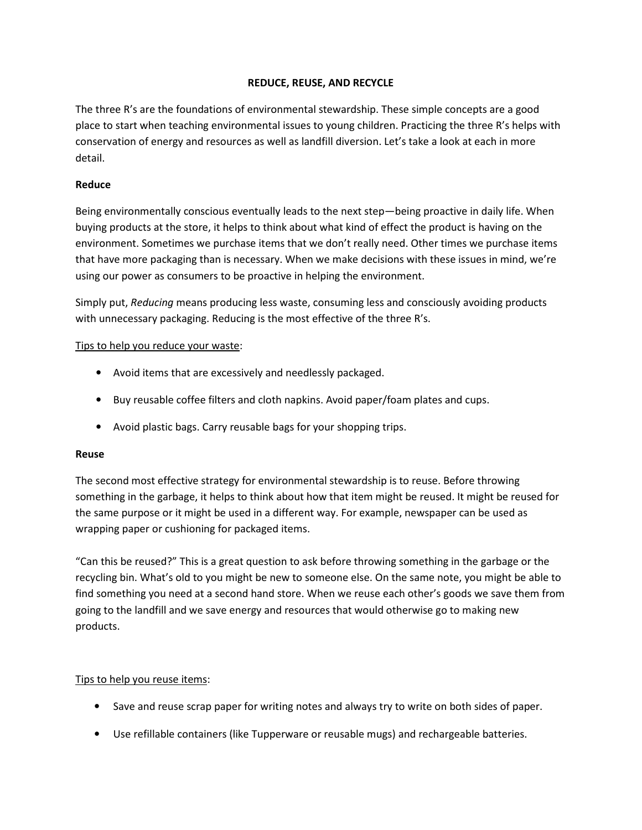# REDUCE, REUSE, AND RECYCLE

The three R's are the foundations of environmental stewardship. These simple concepts are a good place to start when teaching environmental issues to young children. Practicing the three R's helps with conservation of energy and resources as well as landfill diversion. Let's take a look at each in more detail.

## Reduce

Being environmentally conscious eventually leads to the next step—being proactive in daily life. When buying products at the store, it helps to think about what kind of effect the product is having on the environment. Sometimes we purchase items that we don't really need. Other times we purchase items that have more packaging than is necessary. When we make decisions with these issues in mind, we're using our power as consumers to be proactive in helping the environment.

Simply put, Reducing means producing less waste, consuming less and consciously avoiding products with unnecessary packaging. Reducing is the most effective of the three R's.

#### Tips to help you reduce your waste:

- Avoid items that are excessively and needlessly packaged.
- Buy reusable coffee filters and cloth napkins. Avoid paper/foam plates and cups.
- Avoid plastic bags. Carry reusable bags for your shopping trips.

#### Reuse

The second most effective strategy for environmental stewardship is to reuse. Before throwing something in the garbage, it helps to think about how that item might be reused. It might be reused for the same purpose or it might be used in a different way. For example, newspaper can be used as wrapping paper or cushioning for packaged items.

"Can this be reused?" This is a great question to ask before throwing something in the garbage or the recycling bin. What's old to you might be new to someone else. On the same note, you might be able to find something you need at a second hand store. When we reuse each other's goods we save them from going to the landfill and we save energy and resources that would otherwise go to making new products.

#### Tips to help you reuse items:

- Save and reuse scrap paper for writing notes and always try to write on both sides of paper.
- Use refillable containers (like Tupperware or reusable mugs) and rechargeable batteries.